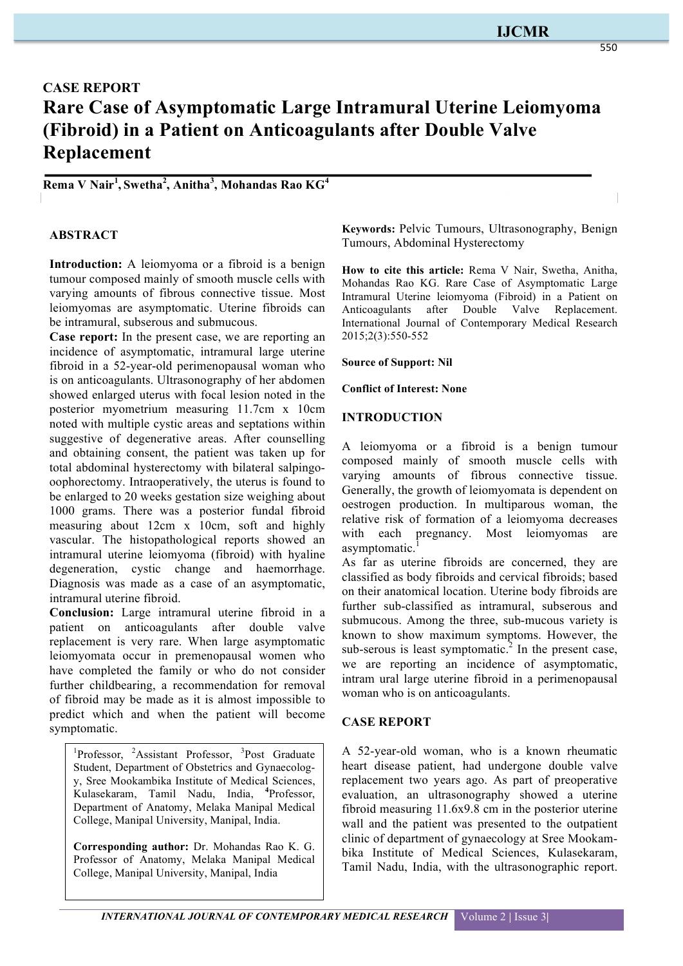# **IJCMR**

# **CASE REPORT Rare Case of Asymptomatic Large Intramural Uterine Leiomyoma (Fibroid) in a Patient on Anticoagulants after Double Valve Replacement**

**Rema V Nair<sup>1</sup> , Swetha<sup>2</sup> , Anitha<sup>3</sup> , Mohandas Rao KG4**

# **ABSTRACT**

**Introduction:** A leiomyoma or a fibroid is a benign tumour composed mainly of smooth muscle cells with varying amounts of fibrous connective tissue. Most leiomyomas are asymptomatic. Uterine fibroids can be intramural, subserous and submucous.

**Case report:** In the present case, we are reporting an incidence of asymptomatic, intramural large uterine fibroid in a 52-year-old perimenopausal woman who is on anticoagulants. Ultrasonography of her abdomen showed enlarged uterus with focal lesion noted in the posterior myometrium measuring 11.7cm x 10cm noted with multiple cystic areas and septations within suggestive of degenerative areas. After counselling and obtaining consent, the patient was taken up for total abdominal hysterectomy with bilateral salpingooophorectomy. Intraoperatively, the uterus is found to be enlarged to 20 weeks gestation size weighing about 1000 grams. There was a posterior fundal fibroid measuring about 12cm x 10cm, soft and highly vascular. The histopathological reports showed an intramural uterine leiomyoma (fibroid) with hyaline degeneration, cystic change and haemorrhage. Diagnosis was made as a case of an asymptomatic, intramural uterine fibroid.

**Conclusion:** Large intramural uterine fibroid in a patient on anticoagulants after double valve replacement is very rare. When large asymptomatic leiomyomata occur in premenopausal women who have completed the family or who do not consider further childbearing, a recommendation for removal of fibroid may be made as it is almost impossible to predict which and when the patient will become symptomatic.

<sup>1</sup>Professor, <sup>2</sup>Assistant Professor, <sup>3</sup>Post Graduate Student, Department of Obstetrics and Gynaecology, Sree Mookambika Institute of Medical Sciences, Kulasekaram, Tamil Nadu, India, **<sup>4</sup>** Professor, Department of Anatomy, Melaka Manipal Medical College, Manipal University, Manipal, India.

**Corresponding author:** Dr. Mohandas Rao K. G. Professor of Anatomy, Melaka Manipal Medical College, Manipal University, Manipal, India

**Keywords:** Pelvic Tumours, Ultrasonography, Benign Tumours, Abdominal Hysterectomy

**How to cite this article:** Rema V Nair, Swetha, Anitha, Mohandas Rao KG. Rare Case of Asymptomatic Large Intramural Uterine leiomyoma (Fibroid) in a Patient on Anticoagulants after Double Valve Replacement. International Journal of Contemporary Medical Research 2015;2(3):550-552

**Source of Support: Nil**

#### **Conflict of Interest: None**

#### **INTRODUCTION**

A leiomyoma or a fibroid is a benign tumour composed mainly of smooth muscle cells with varying amounts of fibrous connective tissue. Generally, the growth of leiomyomata is dependent on oestrogen production. In multiparous woman, the relative risk of formation of a leiomyoma decreases with each pregnancy. Most leiomyomas are asymptomatic.

As far as uterine fibroids are concerned, they are classified as body fibroids and cervical fibroids; based on their anatomical location. Uterine body fibroids are further sub-classified as intramural, subserous and submucous. Among the three, sub-mucous variety is known to show maximum symptoms. However, the sub-serous is least symptomatic. $^{2}$  In the present case, we are reporting an incidence of asymptomatic, intram ural large uterine fibroid in a perimenopausal woman who is on anticoagulants.

### **CASE REPORT**

A 52-year-old woman, who is a known rheumatic heart disease patient, had undergone double valve replacement two years ago. As part of preoperative evaluation, an ultrasonography showed a uterine fibroid measuring 11.6x9.8 cm in the posterior uterine wall and the patient was presented to the outpatient clinic of department of gynaecology at Sree Mookambika Institute of Medical Sciences, Kulasekaram, Tamil Nadu, India, with the ultrasonographic report.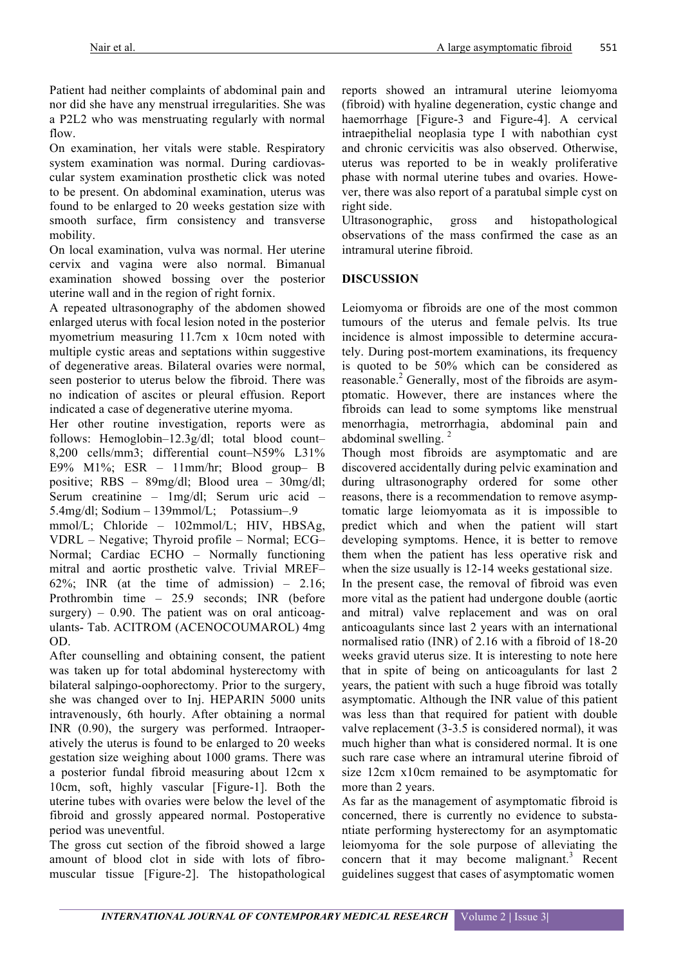Patient had neither complaints of abdominal pain and nor did she have any menstrual irregularities. She was a P2L2 who was menstruating regularly with normal flow.

On examination, her vitals were stable. Respiratory system examination was normal. During cardiovascular system examination prosthetic click was noted to be present. On abdominal examination, uterus was found to be enlarged to 20 weeks gestation size with smooth surface, firm consistency and transverse mobility.

On local examination, vulva was normal. Her uterine cervix and vagina were also normal. Bimanual examination showed bossing over the posterior uterine wall and in the region of right fornix.

A repeated ultrasonography of the abdomen showed enlarged uterus with focal lesion noted in the posterior myometrium measuring 11.7cm x 10cm noted with multiple cystic areas and septations within suggestive of degenerative areas. Bilateral ovaries were normal, seen posterior to uterus below the fibroid. There was no indication of ascites or pleural effusion. Report indicated a case of degenerative uterine myoma.

Her other routine investigation, reports were as follows: Hemoglobin–12.3g/dl; total blood count– 8,200 cells/mm3; differential count–N59% L31% E9% M1%; ESR – 11mm/hr; Blood group– B positive; RBS – 89mg/dl; Blood urea – 30mg/dl; Serum creatinine – 1mg/dl; Serum uric acid – 5.4mg/dl; Sodium – 139mmol/L; Potassium–.9

mmol/L; Chloride – 102mmol/L; HIV, HBSAg, VDRL – Negative; Thyroid profile – Normal; ECG– Normal; Cardiac ECHO – Normally functioning mitral and aortic prosthetic valve. Trivial MREF– 62%; INR (at the time of admission)  $-2.16$ ; Prothrombin time – 25.9 seconds; INR (before surgery)  $-0.90$ . The patient was on oral anticoagulants- Tab. ACITROM (ACENOCOUMAROL) 4mg OD.

After counselling and obtaining consent, the patient was taken up for total abdominal hysterectomy with bilateral salpingo-oophorectomy. Prior to the surgery, she was changed over to Inj. HEPARIN 5000 units intravenously, 6th hourly. After obtaining a normal INR (0.90), the surgery was performed. Intraoperatively the uterus is found to be enlarged to 20 weeks gestation size weighing about 1000 grams. There was a posterior fundal fibroid measuring about 12cm x 10cm, soft, highly vascular [Figure-1]. Both the uterine tubes with ovaries were below the level of the fibroid and grossly appeared normal. Postoperative period was uneventful.

The gross cut section of the fibroid showed a large amount of blood clot in side with lots of fibromuscular tissue [Figure-2]. The histopathological reports showed an intramural uterine leiomyoma (fibroid) with hyaline degeneration, cystic change and haemorrhage [Figure-3 and Figure-4]. A cervical intraepithelial neoplasia type I with nabothian cyst and chronic cervicitis was also observed. Otherwise, uterus was reported to be in weakly proliferative phase with normal uterine tubes and ovaries. However, there was also report of a paratubal simple cyst on right side.

Ultrasonographic, gross and histopathological observations of the mass confirmed the case as an intramural uterine fibroid.

# **DISCUSSION**

Leiomyoma or fibroids are one of the most common tumours of the uterus and female pelvis. Its true incidence is almost impossible to determine accurately. During post-mortem examinations, its frequency is quoted to be 50% which can be considered as reasonable.<sup>2</sup> Generally, most of the fibroids are asymptomatic. However, there are instances where the fibroids can lead to some symptoms like menstrual menorrhagia, metrorrhagia, abdominal pain and abdominal swelling.  $2^2$ 

Though most fibroids are asymptomatic and are discovered accidentally during pelvic examination and during ultrasonography ordered for some other reasons, there is a recommendation to remove asymptomatic large leiomyomata as it is impossible to predict which and when the patient will start developing symptoms. Hence, it is better to remove them when the patient has less operative risk and when the size usually is 12-14 weeks gestational size.

In the present case, the removal of fibroid was even more vital as the patient had undergone double (aortic and mitral) valve replacement and was on oral anticoagulants since last 2 years with an international normalised ratio (INR) of 2.16 with a fibroid of 18-20 weeks gravid uterus size. It is interesting to note here that in spite of being on anticoagulants for last 2 years, the patient with such a huge fibroid was totally asymptomatic. Although the INR value of this patient was less than that required for patient with double valve replacement (3-3.5 is considered normal), it was much higher than what is considered normal. It is one such rare case where an intramural uterine fibroid of size 12cm x10cm remained to be asymptomatic for more than 2 years.

As far as the management of asymptomatic fibroid is concerned, there is currently no evidence to substantiate performing hysterectomy for an asymptomatic leiomyoma for the sole purpose of alleviating the concern that it may become malignant.<sup>3</sup> Recent guidelines suggest that cases of asymptomatic women